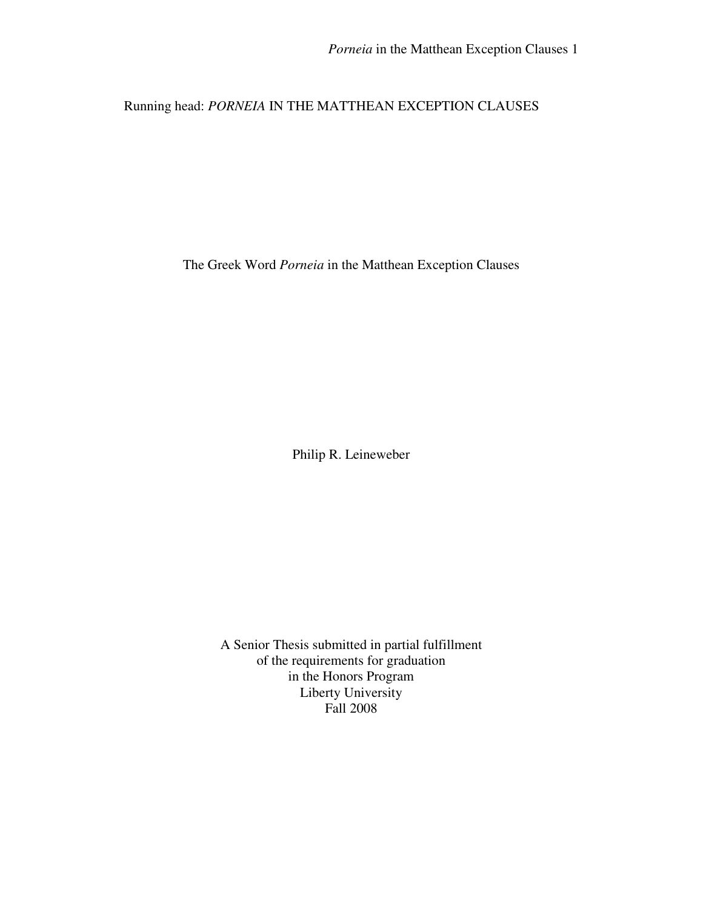# Running head: *PORNEIA* IN THE MATTHEAN EXCEPTION CLAUSES

The Greek Word *Porneia* in the Matthean Exception Clauses

Philip R. Leineweber

A Senior Thesis submitted in partial fulfillment of the requirements for graduation in the Honors Program Liberty University Fall 2008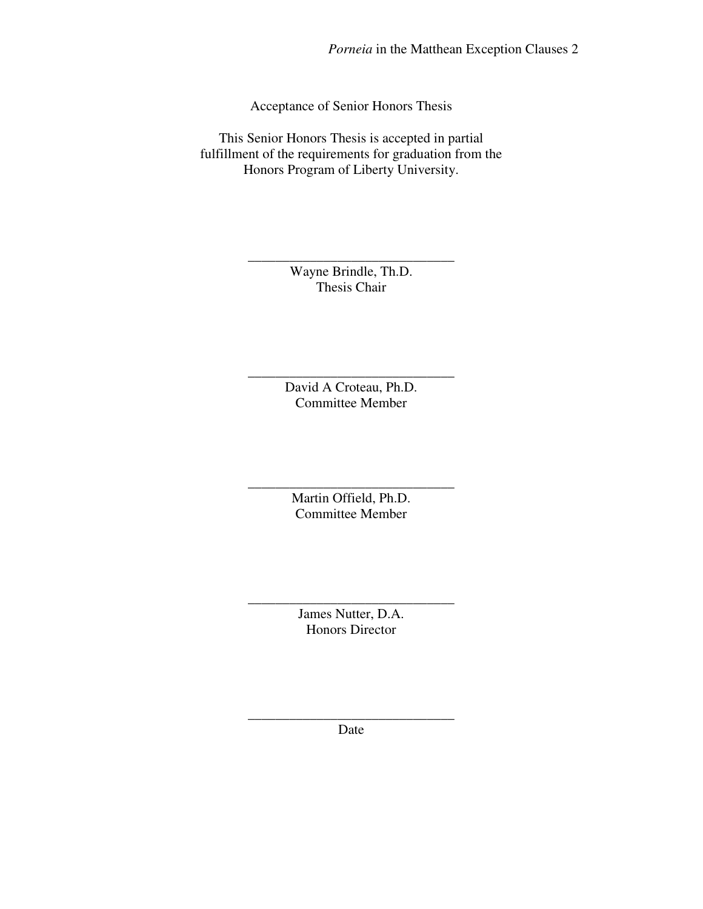Acceptance of Senior Honors Thesis

This Senior Honors Thesis is accepted in partial fulfillment of the requirements for graduation from the Honors Program of Liberty University.

> Wayne Brindle, Th.D. Thesis Chair

\_\_\_\_\_\_\_\_\_\_\_\_\_\_\_\_\_\_\_\_\_\_\_\_\_\_\_\_\_\_

David A Croteau, Ph.D. Committee Member

\_\_\_\_\_\_\_\_\_\_\_\_\_\_\_\_\_\_\_\_\_\_\_\_\_\_\_\_\_\_

\_\_\_\_\_\_\_\_\_\_\_\_\_\_\_\_\_\_\_\_\_\_\_\_\_\_\_\_\_\_ Martin Offield, Ph.D. Committee Member

> James Nutter, D.A. Honors Director

\_\_\_\_\_\_\_\_\_\_\_\_\_\_\_\_\_\_\_\_\_\_\_\_\_\_\_\_\_\_

\_\_\_\_\_\_\_\_\_\_\_\_\_\_\_\_\_\_\_\_\_\_\_\_\_\_\_\_\_\_ Date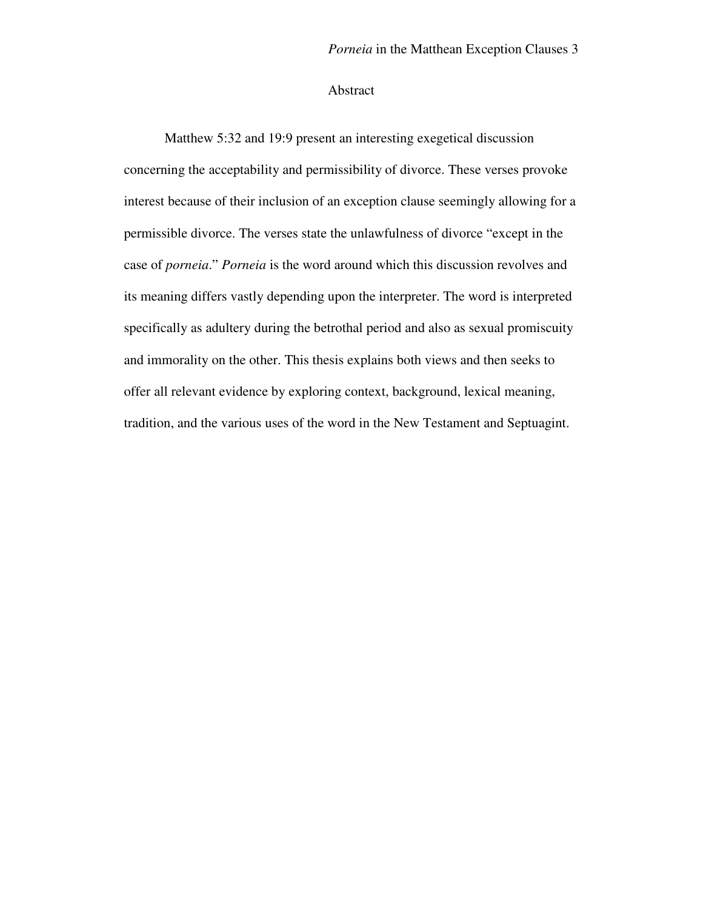### Abstract

Matthew 5:32 and 19:9 present an interesting exegetical discussion concerning the acceptability and permissibility of divorce. These verses provoke interest because of their inclusion of an exception clause seemingly allowing for a permissible divorce. The verses state the unlawfulness of divorce "except in the case of *porneia*." *Porneia* is the word around which this discussion revolves and its meaning differs vastly depending upon the interpreter. The word is interpreted specifically as adultery during the betrothal period and also as sexual promiscuity and immorality on the other. This thesis explains both views and then seeks to offer all relevant evidence by exploring context, background, lexical meaning, tradition, and the various uses of the word in the New Testament and Septuagint.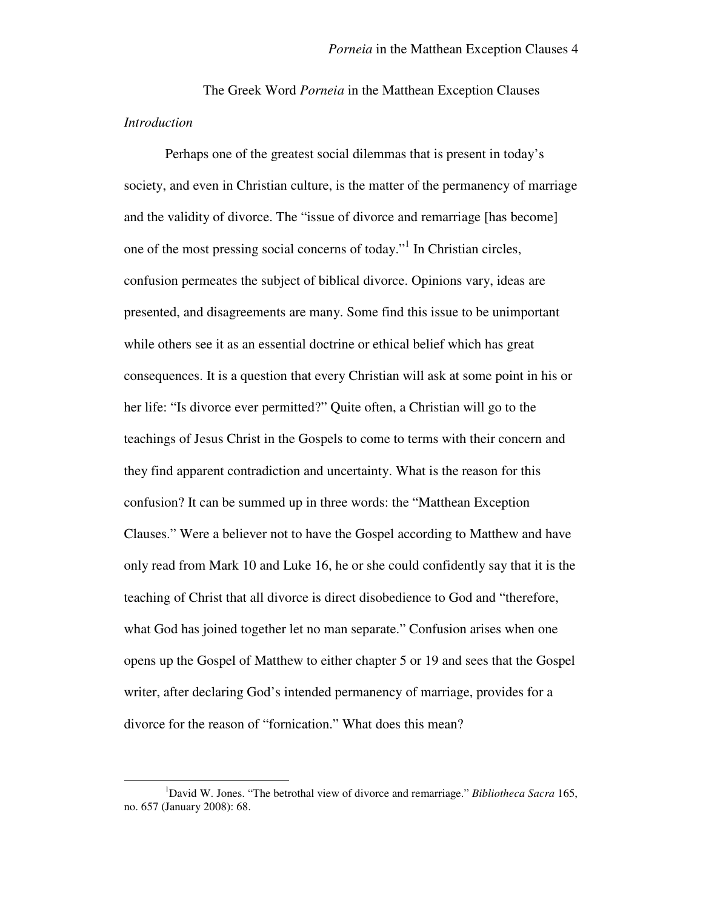The Greek Word *Porneia* in the Matthean Exception Clauses *Introduction* 

Perhaps one of the greatest social dilemmas that is present in today's society, and even in Christian culture, is the matter of the permanency of marriage and the validity of divorce. The "issue of divorce and remarriage [has become] one of the most pressing social concerns of today."<sup>1</sup> In Christian circles, confusion permeates the subject of biblical divorce. Opinions vary, ideas are presented, and disagreements are many. Some find this issue to be unimportant while others see it as an essential doctrine or ethical belief which has great consequences. It is a question that every Christian will ask at some point in his or her life: "Is divorce ever permitted?" Quite often, a Christian will go to the teachings of Jesus Christ in the Gospels to come to terms with their concern and they find apparent contradiction and uncertainty. What is the reason for this confusion? It can be summed up in three words: the "Matthean Exception Clauses." Were a believer not to have the Gospel according to Matthew and have only read from Mark 10 and Luke 16, he or she could confidently say that it is the teaching of Christ that all divorce is direct disobedience to God and "therefore, what God has joined together let no man separate." Confusion arises when one opens up the Gospel of Matthew to either chapter 5 or 19 and sees that the Gospel writer, after declaring God's intended permanency of marriage, provides for a divorce for the reason of "fornication." What does this mean?

<sup>1</sup>David W. Jones. "The betrothal view of divorce and remarriage." *Bibliotheca Sacra* 165, no. 657 (January 2008): 68.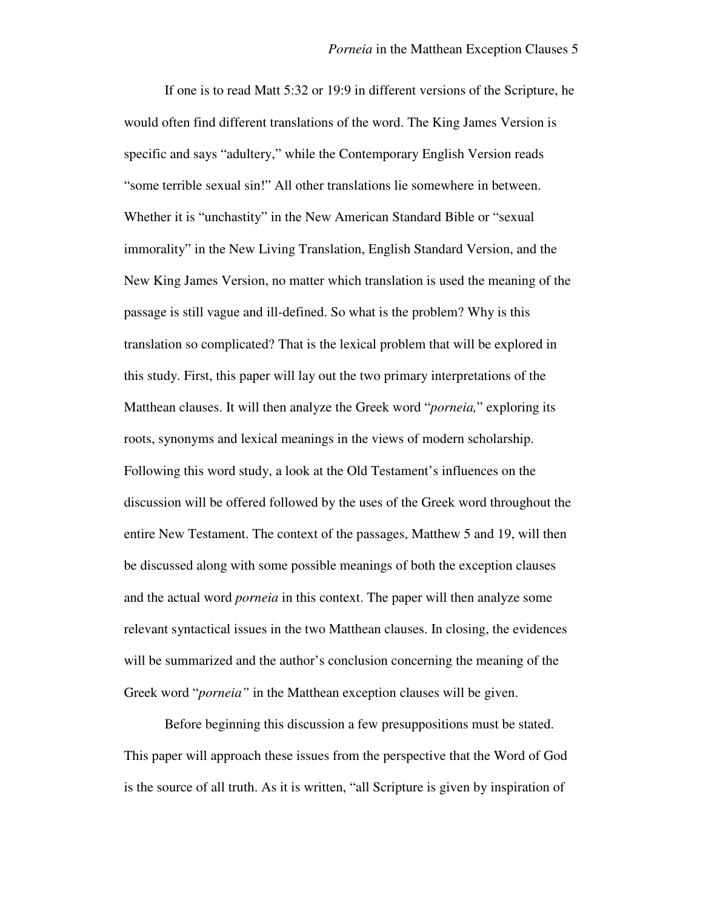If one is to read Matt 5:32 or 19:9 in different versions of the Scripture, he would often find different translations of the word. The King James Version is specific and says "adultery," while the Contemporary English Version reads "some terrible sexual sin!" All other translations lie somewhere in between. Whether it is "unchastity" in the New American Standard Bible or "sexual immorality" in the New Living Translation, English Standard Version, and the New King James Version, no matter which translation is used the meaning of the passage is still vague and ill-defined. So what is the problem? Why is this translation so complicated? That is the lexical problem that will be explored in this study. First, this paper will lay out the two primary interpretations of the Matthean clauses. It will then analyze the Greek word "*porneia,*" exploring its roots, synonyms and lexical meanings in the views of modern scholarship. Following this word study, a look at the Old Testament's influences on the discussion will be offered followed by the uses of the Greek word throughout the entire New Testament. The context of the passages, Matthew 5 and 19, will then be discussed along with some possible meanings of both the exception clauses and the actual word *porneia* in this context. The paper will then analyze some relevant syntactical issues in the two Matthean clauses. In closing, the evidences will be summarized and the author's conclusion concerning the meaning of the Greek word "*porneia"* in the Matthean exception clauses will be given.

Before beginning this discussion a few presuppositions must be stated. This paper will approach these issues from the perspective that the Word of God is the source of all truth. As it is written, "all Scripture is given by inspiration of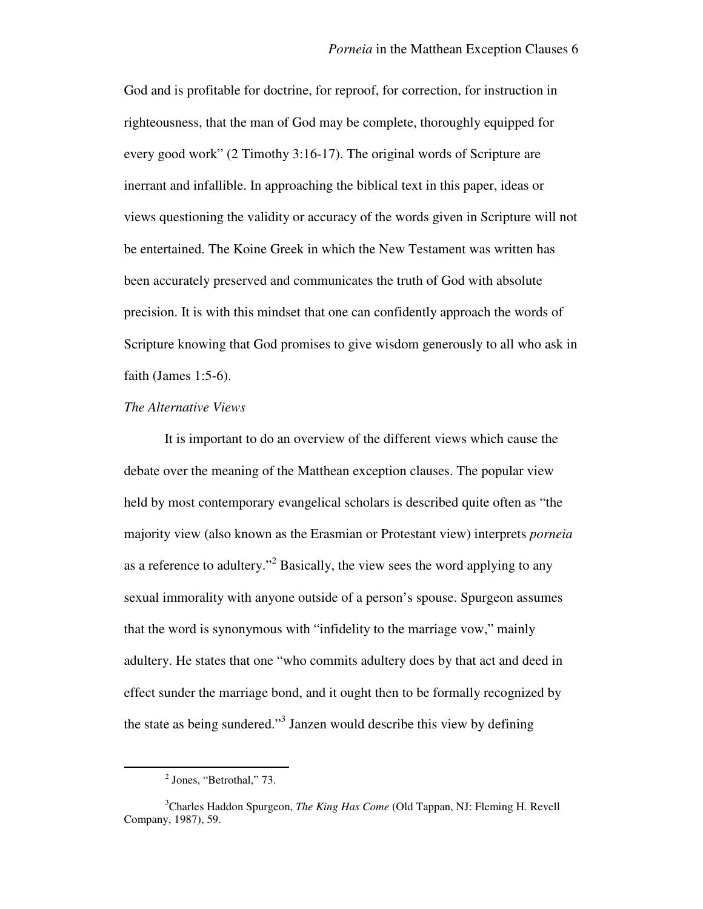God and is profitable for doctrine, for reproof, for correction, for instruction in righteousness, that the man of God may be complete, thoroughly equipped for every good work" (2 Timothy 3:16-17). The original words of Scripture are inerrant and infallible. In approaching the biblical text in this paper, ideas or views questioning the validity or accuracy of the words given in Scripture will not be entertained. The Koine Greek in which the New Testament was written has been accurately preserved and communicates the truth of God with absolute precision. It is with this mindset that one can confidently approach the words of Scripture knowing that God promises to give wisdom generously to all who ask in faith (James 1:5-6).

#### *The Alternative Views*

 It is important to do an overview of the different views which cause the debate over the meaning of the Matthean exception clauses. The popular view held by most contemporary evangelical scholars is described quite often as "the majority view (also known as the Erasmian or Protestant view) interprets *porneia*  as a reference to adultery."<sup>2</sup> Basically, the view sees the word applying to any sexual immorality with anyone outside of a person's spouse. Spurgeon assumes that the word is synonymous with "infidelity to the marriage vow," mainly adultery. He states that one "who commits adultery does by that act and deed in effect sunder the marriage bond, and it ought then to be formally recognized by the state as being sundered."<sup>3</sup> Janzen would describe this view by defining

<sup>&</sup>lt;sup>2</sup> Jones, "Betrothal," 73.

<sup>3</sup>Charles Haddon Spurgeon, *The King Has Come* (Old Tappan, NJ: Fleming H. Revell Company, 1987), 59.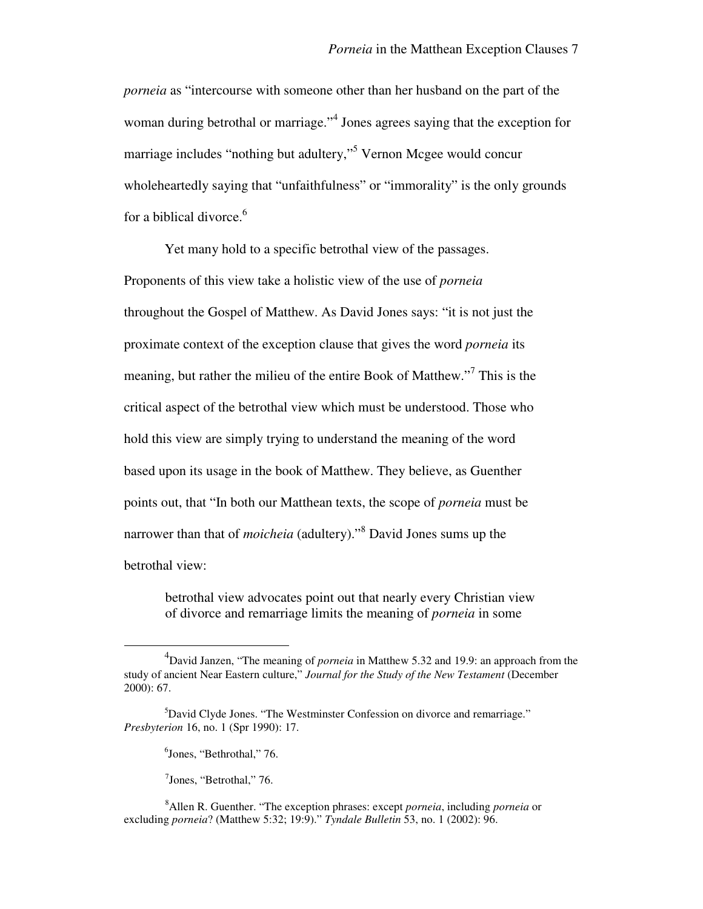*porneia* as "intercourse with someone other than her husband on the part of the woman during betrothal or marriage."<sup>4</sup> Jones agrees saying that the exception for marriage includes "nothing but adultery,"<sup>5</sup> Vernon Mcgee would concur wholeheartedly saying that "unfaithfulness" or "immorality" is the only grounds for a biblical divorce.<sup>6</sup>

 Yet many hold to a specific betrothal view of the passages. Proponents of this view take a holistic view of the use of *porneia* throughout the Gospel of Matthew. As David Jones says: "it is not just the proximate context of the exception clause that gives the word *porneia* its meaning, but rather the milieu of the entire Book of Matthew."<sup>7</sup> This is the critical aspect of the betrothal view which must be understood. Those who hold this view are simply trying to understand the meaning of the word based upon its usage in the book of Matthew. They believe, as Guenther points out, that "In both our Matthean texts, the scope of *porneia* must be narrower than that of *moicheia* (adultery)."<sup>8</sup> David Jones sums up the betrothal view:

betrothal view advocates point out that nearly every Christian view of divorce and remarriage limits the meaning of *porneia* in some

<sup>4</sup> David Janzen, "The meaning of *porneia* in Matthew 5.32 and 19.9: an approach from the study of ancient Near Eastern culture," *Journal for the Study of the New Testament* (December 2000): 67.

<sup>&</sup>lt;sup>5</sup>David Clyde Jones. "The Westminster Confession on divorce and remarriage." *Presbyterion* 16, no. 1 (Spr 1990): 17.

<sup>6</sup> Jones, "Bethrothal," 76.

<sup>7</sup> Jones, "Betrothal," 76.

<sup>8</sup>Allen R. Guenther. "The exception phrases: except *porneia*, including *porneia* or excluding *porneia*? (Matthew 5:32; 19:9)." *Tyndale Bulletin* 53, no. 1 (2002): 96.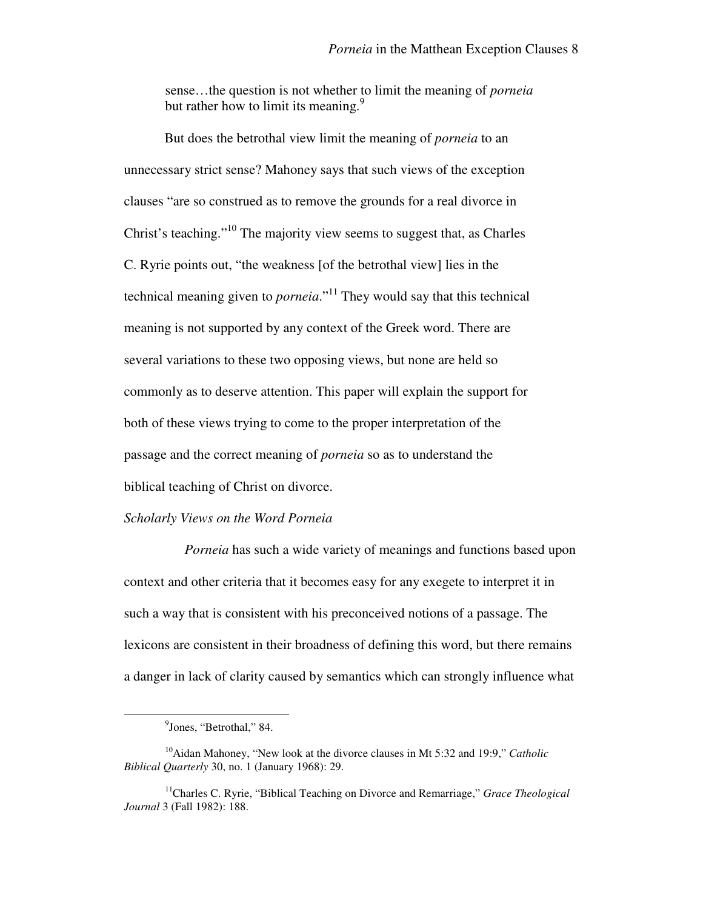sense…the question is not whether to limit the meaning of *porneia* but rather how to limit its meaning.<sup>9</sup>

But does the betrothal view limit the meaning of *porneia* to an unnecessary strict sense? Mahoney says that such views of the exception clauses "are so construed as to remove the grounds for a real divorce in Christ's teaching."<sup>10</sup> The majority view seems to suggest that, as Charles C. Ryrie points out, "the weakness [of the betrothal view] lies in the technical meaning given to *porneia*."<sup>11</sup> They would say that this technical meaning is not supported by any context of the Greek word. There are several variations to these two opposing views, but none are held so commonly as to deserve attention. This paper will explain the support for both of these views trying to come to the proper interpretation of the passage and the correct meaning of *porneia* so as to understand the biblical teaching of Christ on divorce.

#### *Scholarly Views on the Word Porneia*

*Porneia* has such a wide variety of meanings and functions based upon context and other criteria that it becomes easy for any exegete to interpret it in such a way that is consistent with his preconceived notions of a passage. The lexicons are consistent in their broadness of defining this word, but there remains a danger in lack of clarity caused by semantics which can strongly influence what

<sup>&</sup>lt;sup>9</sup>Jones, "Betrothal," 84.

<sup>10</sup>Aidan Mahoney, "New look at the divorce clauses in Mt 5:32 and 19:9," *Catholic Biblical Quarterly* 30, no. 1 (January 1968): 29.

<sup>11</sup>Charles C. Ryrie, "Biblical Teaching on Divorce and Remarriage," *Grace Theological Journal* 3 (Fall 1982): 188.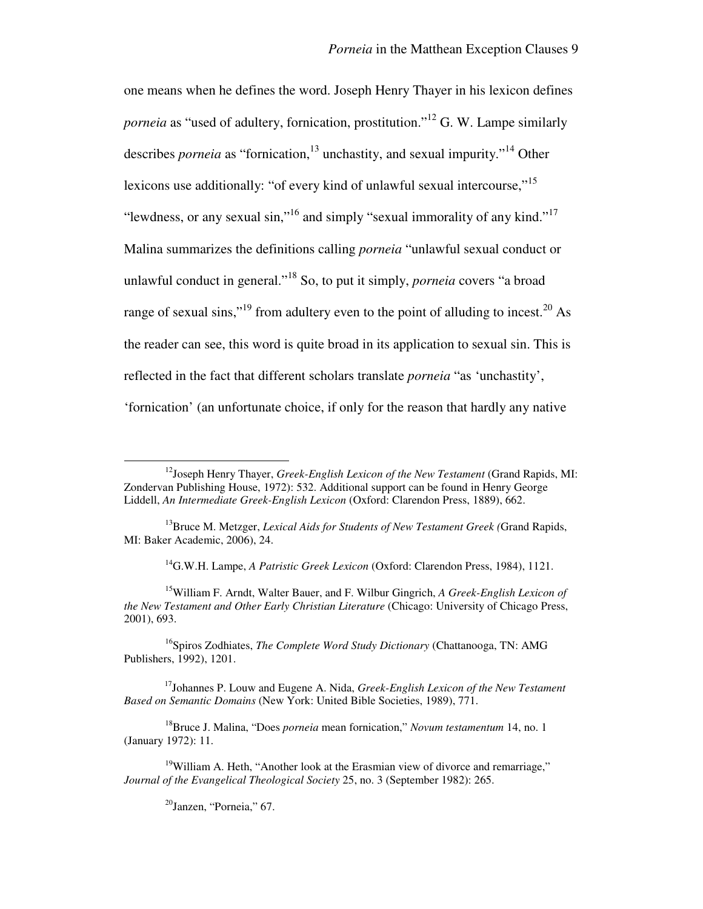one means when he defines the word. Joseph Henry Thayer in his lexicon defines *porneia* as "used of adultery, fornication, prostitution."<sup>12</sup> G. W. Lampe similarly describes *porneia* as "fornication,<sup>13</sup> unchastity, and sexual impurity."<sup>14</sup> Other lexicons use additionally: "of every kind of unlawful sexual intercourse,"<sup>15</sup> "lewdness, or any sexual sin,"<sup>16</sup> and simply "sexual immorality of any kind."<sup>17</sup> Malina summarizes the definitions calling *porneia* "unlawful sexual conduct or unlawful conduct in general."<sup>18</sup> So, to put it simply, *porneia* covers "a broad range of sexual sins,"<sup>19</sup> from adultery even to the point of alluding to incest.<sup>20</sup> As the reader can see, this word is quite broad in its application to sexual sin. This is reflected in the fact that different scholars translate *porneia* "as 'unchastity', 'fornication' (an unfortunate choice, if only for the reason that hardly any native

<sup>14</sup>G.W.H. Lampe, *A Patristic Greek Lexicon* (Oxford: Clarendon Press, 1984), 1121.

<sup>15</sup>William F. Arndt, Walter Bauer, and F. Wilbur Gingrich, *A Greek-English Lexicon of the New Testament and Other Early Christian Literature* (Chicago: University of Chicago Press, 2001), 693.

<sup>16</sup>Spiros Zodhiates, *The Complete Word Study Dictionary* (Chattanooga, TN: AMG Publishers, 1992), 1201.

<sup>17</sup>Johannes P. Louw and Eugene A. Nida, *Greek-English Lexicon of the New Testament Based on Semantic Domains* (New York: United Bible Societies, 1989), 771.

<sup>18</sup>Bruce J. Malina, "Does *porneia* mean fornication," *Novum testamentum* 14, no. 1 (January 1972): 11.

 $^{20}$ Janzen, "Porneia," 67.

<sup>12</sup>Joseph Henry Thayer, *Greek-English Lexicon of the New Testament* (Grand Rapids, MI: Zondervan Publishing House, 1972): 532. Additional support can be found in Henry George Liddell, *An Intermediate Greek-English Lexicon* (Oxford: Clarendon Press, 1889), 662.

<sup>13</sup>Bruce M. Metzger, *Lexical Aids for Students of New Testament Greek (*Grand Rapids, MI: Baker Academic, 2006), 24.

 $19$ William A. Heth, "Another look at the Erasmian view of divorce and remarriage." *Journal of the Evangelical Theological Society* 25, no. 3 (September 1982): 265.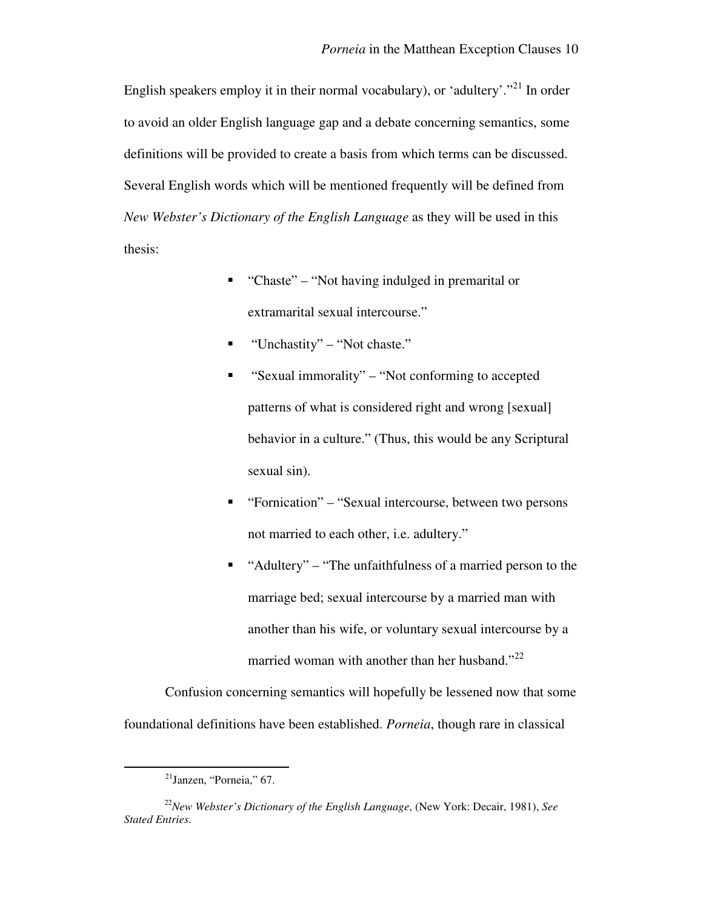English speakers employ it in their normal vocabulary), or 'adultery'.<sup>"21</sup> In order to avoid an older English language gap and a debate concerning semantics, some definitions will be provided to create a basis from which terms can be discussed. Several English words which will be mentioned frequently will be defined from *New Webster's Dictionary of the English Language* as they will be used in this thesis:

- "Chaste" "Not having indulged in premarital or extramarital sexual intercourse."
- $\blacksquare$  "Unchastity" "Not chaste."
- "Sexual immorality" "Not conforming to accepted patterns of what is considered right and wrong [sexual] behavior in a culture." (Thus, this would be any Scriptural sexual sin).
- "Fornication" "Sexual intercourse, between two persons not married to each other, i.e. adultery."
- "Adultery" "The unfaithfulness of a married person to the marriage bed; sexual intercourse by a married man with another than his wife, or voluntary sexual intercourse by a married woman with another than her husband."<sup>22</sup>

Confusion concerning semantics will hopefully be lessened now that some foundational definitions have been established. *Porneia*, though rare in classical

 $21$ Janzen, "Porneia," 67.

<sup>22</sup>*New Webster's Dictionary of the English Language*, (New York: Decair, 1981), *See Stated Entries*.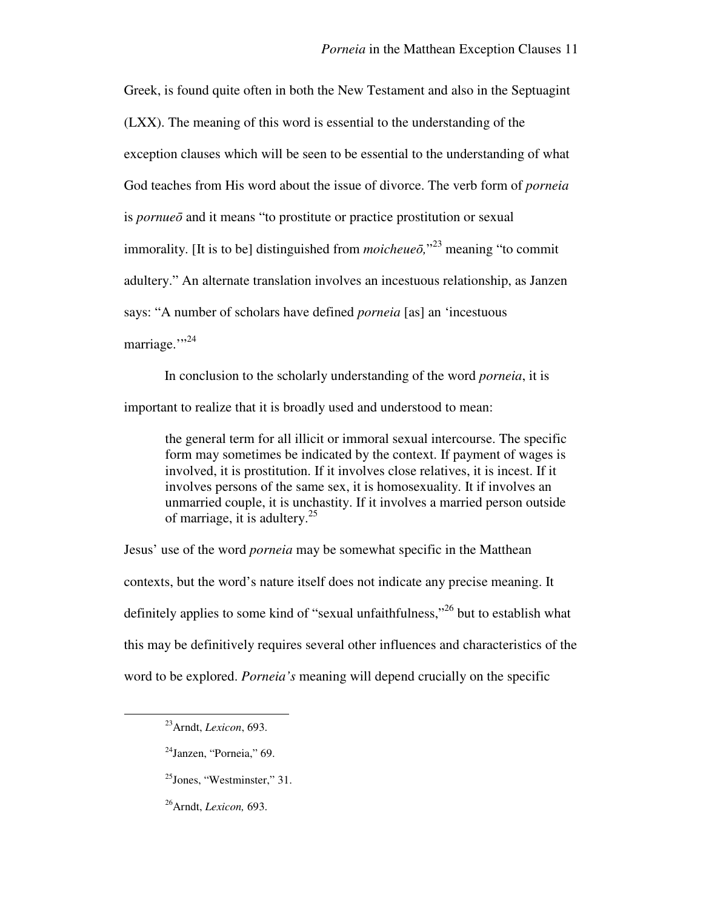Greek, is found quite often in both the New Testament and also in the Septuagint (LXX). The meaning of this word is essential to the understanding of the exception clauses which will be seen to be essential to the understanding of what God teaches from His word about the issue of divorce. The verb form of *porneia*  is *pornue*ō and it means "to prostitute or practice prostitution or sexual immorality. [It is to be] distinguished from *moicheue*ō*,*" <sup>23</sup> meaning "to commit adultery." An alternate translation involves an incestuous relationship, as Janzen says: "A number of scholars have defined *porneia* [as] an 'incestuous marriage."<sup>34</sup>

In conclusion to the scholarly understanding of the word *porneia*, it is important to realize that it is broadly used and understood to mean:

the general term for all illicit or immoral sexual intercourse. The specific form may sometimes be indicated by the context. If payment of wages is involved, it is prostitution. If it involves close relatives, it is incest. If it involves persons of the same sex, it is homosexuality. It if involves an unmarried couple, it is unchastity. If it involves a married person outside of marriage, it is adultery.<sup>25</sup>

Jesus' use of the word *porneia* may be somewhat specific in the Matthean contexts, but the word's nature itself does not indicate any precise meaning. It definitely applies to some kind of "sexual unfaithfulness,"<sup>26</sup> but to establish what this may be definitively requires several other influences and characteristics of the word to be explored. *Porneia's* meaning will depend crucially on the specific

<sup>23</sup>Arndt, *Lexicon*, 693.

<sup>24</sup>Janzen, "Porneia," 69.

<sup>25</sup>Jones, "Westminster," 31.

<sup>26</sup>Arndt, *Lexicon,* 693.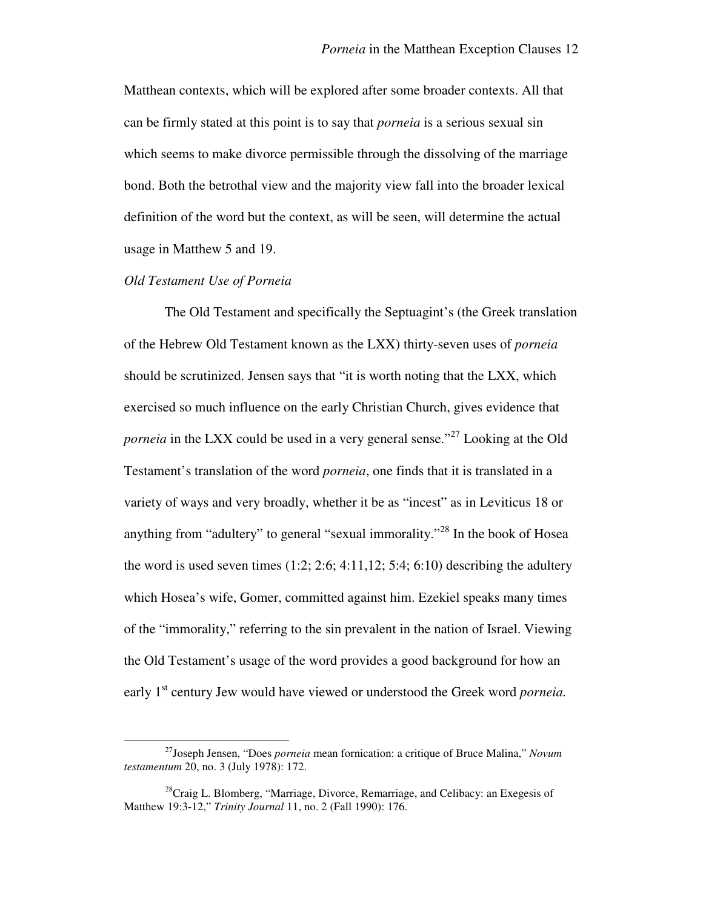Matthean contexts, which will be explored after some broader contexts. All that can be firmly stated at this point is to say that *porneia* is a serious sexual sin which seems to make divorce permissible through the dissolving of the marriage bond. Both the betrothal view and the majority view fall into the broader lexical definition of the word but the context, as will be seen, will determine the actual usage in Matthew 5 and 19.

### *Old Testament Use of Porneia*

 $\overline{a}$ 

The Old Testament and specifically the Septuagint's (the Greek translation of the Hebrew Old Testament known as the LXX) thirty-seven uses of *porneia* should be scrutinized. Jensen says that "it is worth noting that the LXX, which exercised so much influence on the early Christian Church, gives evidence that *porneia* in the LXX could be used in a very general sense.<sup>"27</sup> Looking at the Old Testament's translation of the word *porneia*, one finds that it is translated in a variety of ways and very broadly, whether it be as "incest" as in Leviticus 18 or anything from "adultery" to general "sexual immorality."<sup>28</sup> In the book of Hosea the word is used seven times  $(1:2; 2:6; 4:11,12; 5:4; 6:10)$  describing the adultery which Hosea's wife, Gomer, committed against him. Ezekiel speaks many times of the "immorality," referring to the sin prevalent in the nation of Israel. Viewing the Old Testament's usage of the word provides a good background for how an early 1<sup>st</sup> century Jew would have viewed or understood the Greek word *porneia*.

<sup>27</sup>Joseph Jensen, "Does *porneia* mean fornication: a critique of Bruce Malina," *Novum testamentum* 20, no. 3 (July 1978): 172.

 $^{28}$ Craig L. Blomberg, "Marriage, Divorce, Remarriage, and Celibacy: an Exegesis of Matthew 19:3-12," *Trinity Journal* 11, no. 2 (Fall 1990): 176.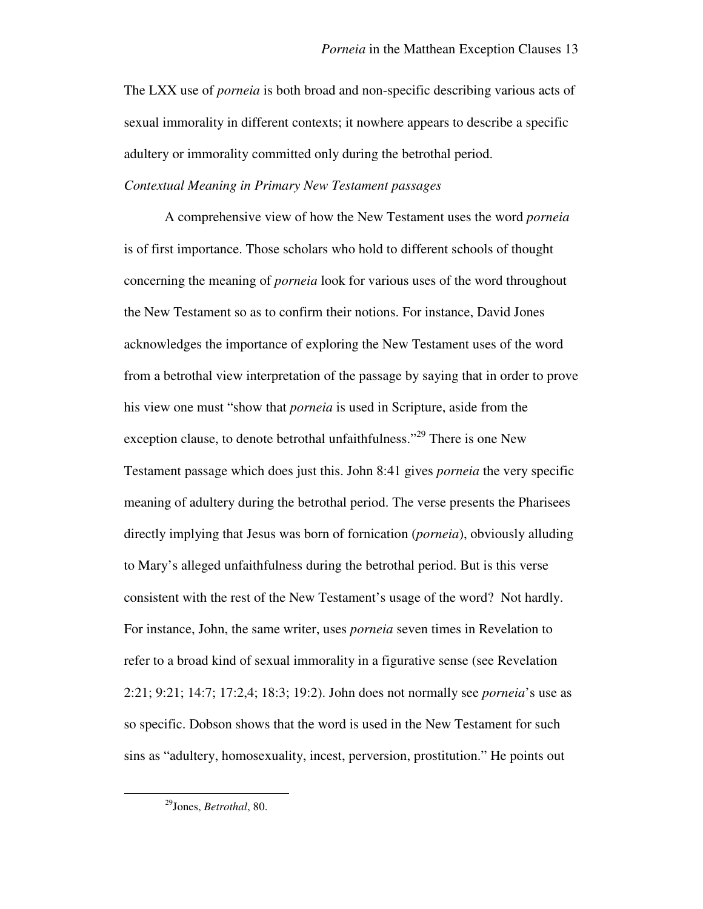The LXX use of *porneia* is both broad and non-specific describing various acts of sexual immorality in different contexts; it nowhere appears to describe a specific adultery or immorality committed only during the betrothal period.

# *Contextual Meaning in Primary New Testament passages*

 A comprehensive view of how the New Testament uses the word *porneia*  is of first importance. Those scholars who hold to different schools of thought concerning the meaning of *porneia* look for various uses of the word throughout the New Testament so as to confirm their notions. For instance, David Jones acknowledges the importance of exploring the New Testament uses of the word from a betrothal view interpretation of the passage by saying that in order to prove his view one must "show that *porneia* is used in Scripture, aside from the exception clause, to denote betrothal unfaithfulness."<sup>29</sup> There is one New Testament passage which does just this. John 8:41 gives *porneia* the very specific meaning of adultery during the betrothal period. The verse presents the Pharisees directly implying that Jesus was born of fornication (*porneia*), obviously alluding to Mary's alleged unfaithfulness during the betrothal period. But is this verse consistent with the rest of the New Testament's usage of the word? Not hardly. For instance, John, the same writer, uses *porneia* seven times in Revelation to refer to a broad kind of sexual immorality in a figurative sense (see Revelation 2:21; 9:21; 14:7; 17:2,4; 18:3; 19:2). John does not normally see *porneia*'s use as so specific. Dobson shows that the word is used in the New Testament for such sins as "adultery, homosexuality, incest, perversion, prostitution." He points out

<sup>29</sup>Jones, *Betrothal*, 80.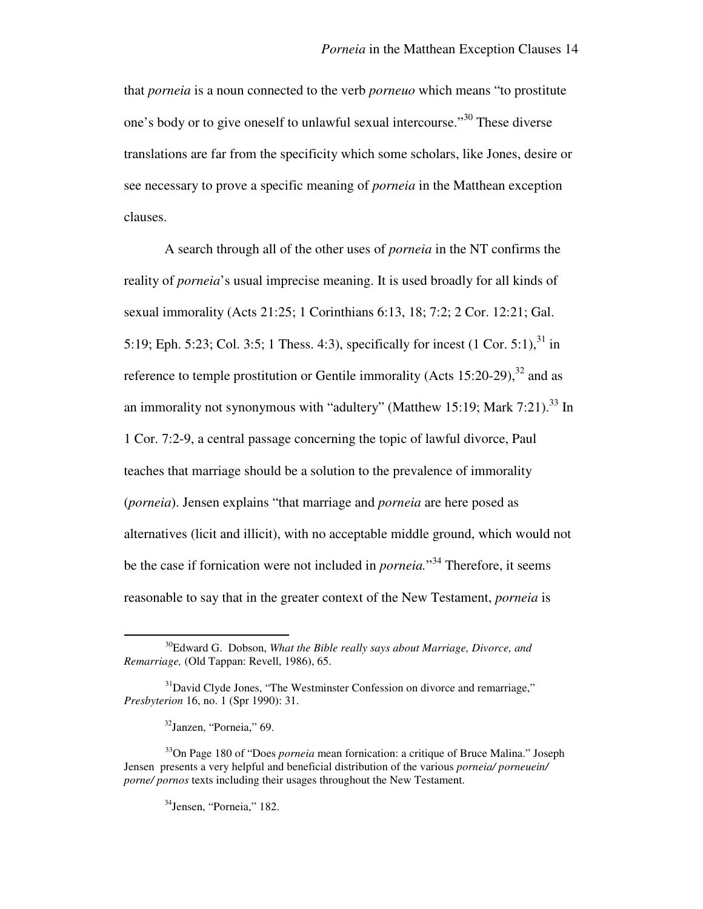that *porneia* is a noun connected to the verb *porneuo* which means "to prostitute one's body or to give oneself to unlawful sexual intercourse."<sup>30</sup> These diverse translations are far from the specificity which some scholars, like Jones, desire or see necessary to prove a specific meaning of *porneia* in the Matthean exception clauses.

A search through all of the other uses of *porneia* in the NT confirms the reality of *porneia*'s usual imprecise meaning. It is used broadly for all kinds of sexual immorality (Acts 21:25; 1 Corinthians 6:13, 18; 7:2; 2 Cor. 12:21; Gal. 5:19; Eph. 5:23; Col. 3:5; 1 Thess. 4:3), specifically for incest  $(1 \text{ Cor. } 5:1)$ ,  $^{31}$  in reference to temple prostitution or Gentile immorality (Acts  $15:20-29$ ),  $32$  and as an immorality not synonymous with "adultery" (Matthew 15:19; Mark 7:21).<sup>33</sup> In 1 Cor. 7:2-9, a central passage concerning the topic of lawful divorce, Paul teaches that marriage should be a solution to the prevalence of immorality (*porneia*). Jensen explains "that marriage and *porneia* are here posed as alternatives (licit and illicit), with no acceptable middle ground, which would not be the case if fornication were not included in *porneia.*" <sup>34</sup> Therefore, it seems reasonable to say that in the greater context of the New Testament, *porneia* is

<sup>30</sup>Edward G. Dobson, *What the Bible really says about Marriage, Divorce, and Remarriage,* (Old Tappan: Revell, 1986), 65.

<sup>&</sup>lt;sup>31</sup>David Clyde Jones, "The Westminster Confession on divorce and remarriage," *Presbyterion* 16, no. 1 (Spr 1990): 31.

<sup>32</sup>Janzen, "Porneia," 69.

<sup>33</sup>On Page 180 of "Does *porneia* mean fornication: a critique of Bruce Malina." Joseph Jensen presents a very helpful and beneficial distribution of the various *porneia/ porneuein/ porne/ pornos* texts including their usages throughout the New Testament.

<sup>34</sup>Jensen, "Porneia," 182.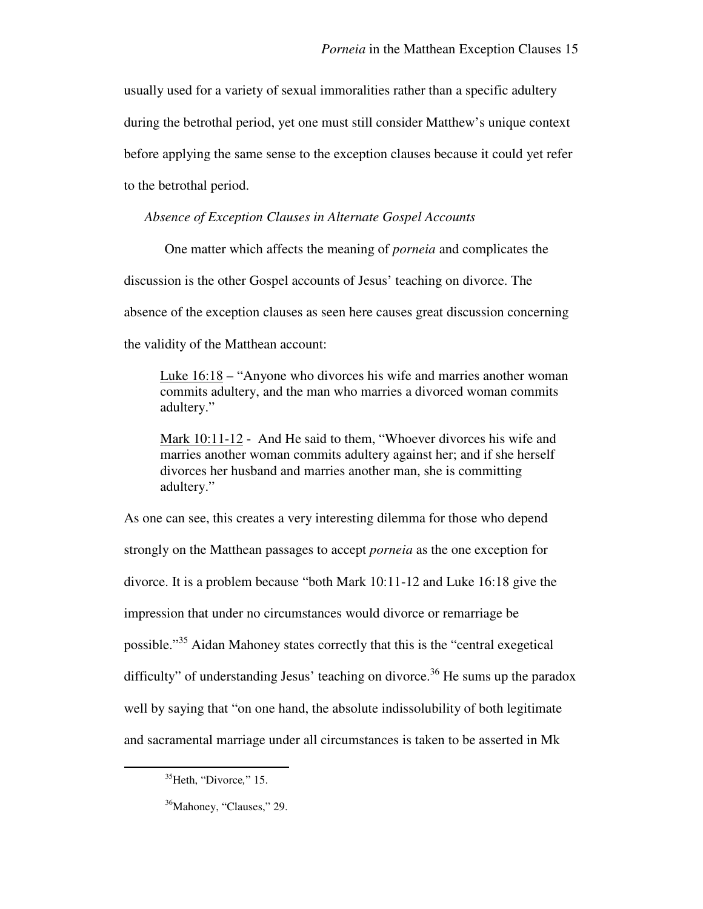usually used for a variety of sexual immoralities rather than a specific adultery during the betrothal period, yet one must still consider Matthew's unique context before applying the same sense to the exception clauses because it could yet refer to the betrothal period.

*Absence of Exception Clauses in Alternate Gospel Accounts* 

One matter which affects the meaning of *porneia* and complicates the discussion is the other Gospel accounts of Jesus' teaching on divorce. The absence of the exception clauses as seen here causes great discussion concerning the validity of the Matthean account:

Luke 16:18 – "Anyone who divorces his wife and marries another woman commits adultery, and the man who marries a divorced woman commits adultery."

Mark 10:11-12 - And He said to them, "Whoever divorces his wife and marries another woman commits adultery against her; and if she herself divorces her husband and marries another man, she is committing adultery."

As one can see, this creates a very interesting dilemma for those who depend strongly on the Matthean passages to accept *porneia* as the one exception for divorce. It is a problem because "both Mark 10:11-12 and Luke 16:18 give the impression that under no circumstances would divorce or remarriage be possible."<sup>35</sup> Aidan Mahoney states correctly that this is the "central exegetical difficulty" of understanding Jesus' teaching on divorce.<sup>36</sup> He sums up the paradox well by saying that "on one hand, the absolute indissolubility of both legitimate and sacramental marriage under all circumstances is taken to be asserted in Mk

<sup>35</sup>Heth, "Divorce*,*" 15.

<sup>&</sup>lt;sup>36</sup>Mahoney, "Clauses," 29.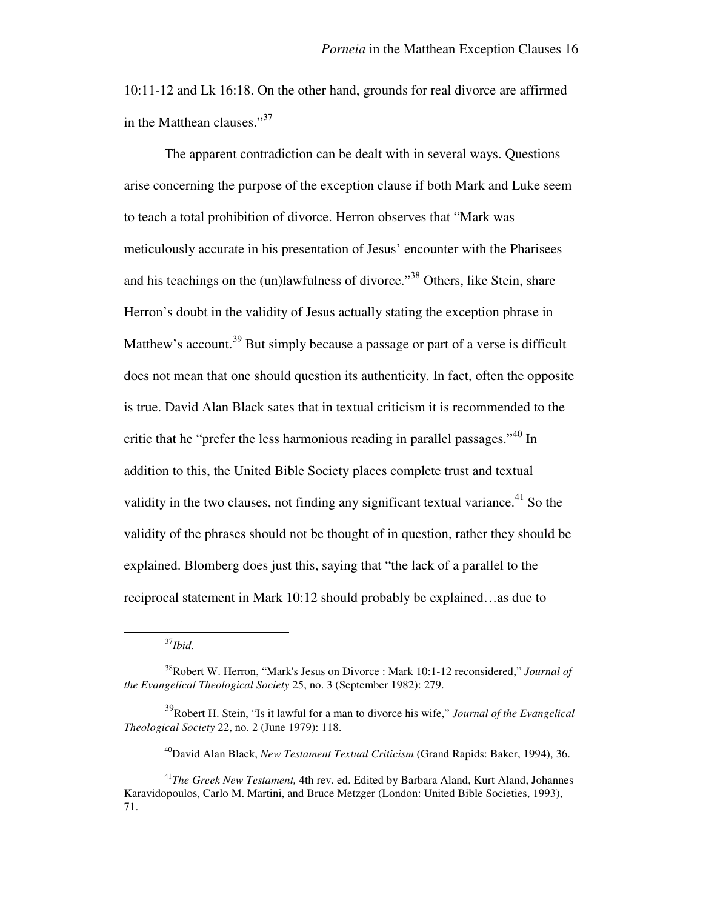10:11-12 and Lk 16:18. On the other hand, grounds for real divorce are affirmed in the Matthean clauses."<sup>37</sup>

 The apparent contradiction can be dealt with in several ways. Questions arise concerning the purpose of the exception clause if both Mark and Luke seem to teach a total prohibition of divorce. Herron observes that "Mark was meticulously accurate in his presentation of Jesus' encounter with the Pharisees and his teachings on the (un)lawfulness of divorce."<sup>38</sup> Others, like Stein, share Herron's doubt in the validity of Jesus actually stating the exception phrase in Matthew's account.<sup>39</sup> But simply because a passage or part of a verse is difficult does not mean that one should question its authenticity. In fact, often the opposite is true. David Alan Black sates that in textual criticism it is recommended to the critic that he "prefer the less harmonious reading in parallel passages."<sup>40</sup> In addition to this, the United Bible Society places complete trust and textual validity in the two clauses, not finding any significant textual variance.<sup>41</sup> So the validity of the phrases should not be thought of in question, rather they should be explained. Blomberg does just this, saying that "the lack of a parallel to the reciprocal statement in Mark 10:12 should probably be explained…as due to

<sup>37</sup>*Ibid*.

 $\overline{a}$ 

<sup>40</sup>David Alan Black, *New Testament Textual Criticism* (Grand Rapids: Baker, 1994), 36.

<sup>38</sup>Robert W. Herron, "Mark's Jesus on Divorce : Mark 10:1-12 reconsidered," *Journal of the Evangelical Theological Society* 25, no. 3 (September 1982): 279.

<sup>39</sup>Robert H. Stein, "Is it lawful for a man to divorce his wife," *Journal of the Evangelical Theological Society* 22, no. 2 (June 1979): 118.

<sup>41</sup>*The Greek New Testament,* 4th rev. ed. Edited by Barbara Aland, Kurt Aland, Johannes Karavidopoulos, Carlo M. Martini, and Bruce Metzger (London: United Bible Societies, 1993), 71.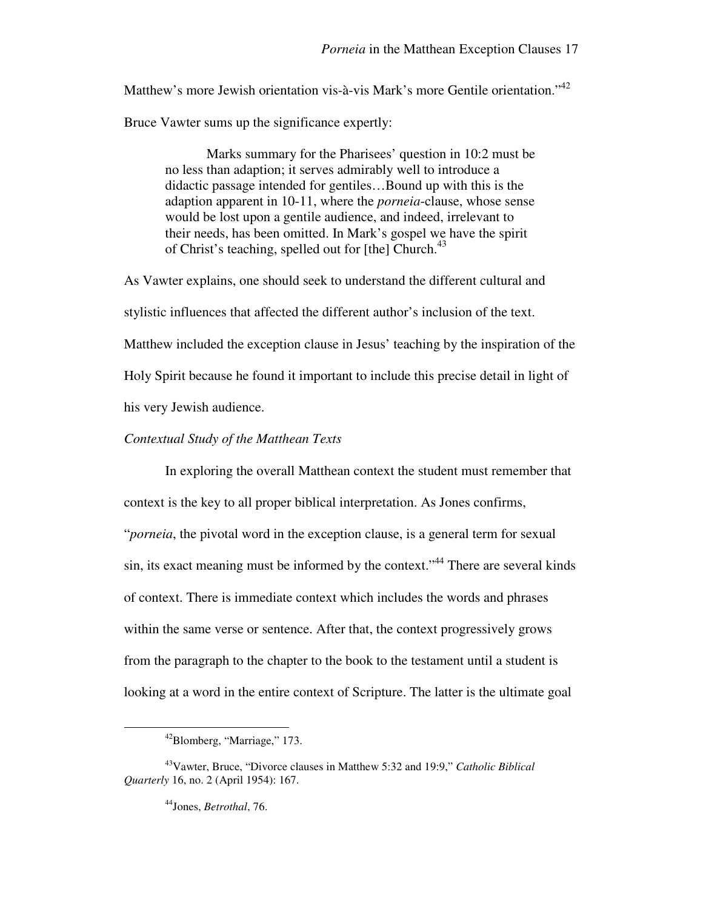Matthew's more Jewish orientation vis-à-vis Mark's more Gentile orientation."<sup>42</sup>

Bruce Vawter sums up the significance expertly:

Marks summary for the Pharisees' question in 10:2 must be no less than adaption; it serves admirably well to introduce a didactic passage intended for gentiles…Bound up with this is the adaption apparent in 10-11, where the *porneia*-clause, whose sense would be lost upon a gentile audience, and indeed, irrelevant to their needs, has been omitted. In Mark's gospel we have the spirit of Christ's teaching, spelled out for [the] Church.<sup>43</sup>

As Vawter explains, one should seek to understand the different cultural and stylistic influences that affected the different author's inclusion of the text. Matthew included the exception clause in Jesus' teaching by the inspiration of the Holy Spirit because he found it important to include this precise detail in light of his very Jewish audience.

### *Contextual Study of the Matthean Texts*

In exploring the overall Matthean context the student must remember that context is the key to all proper biblical interpretation. As Jones confirms, "*porneia*, the pivotal word in the exception clause, is a general term for sexual sin, its exact meaning must be informed by the context."<sup>44</sup> There are several kinds of context. There is immediate context which includes the words and phrases within the same verse or sentence. After that, the context progressively grows from the paragraph to the chapter to the book to the testament until a student is looking at a word in the entire context of Scripture. The latter is the ultimate goal

<sup>42</sup>Blomberg, "Marriage," 173.

<sup>43</sup>Vawter, Bruce, "Divorce clauses in Matthew 5:32 and 19:9," *Catholic Biblical Quarterly* 16, no. 2 (April 1954): 167.

<sup>44</sup>Jones, *Betrothal*, 76.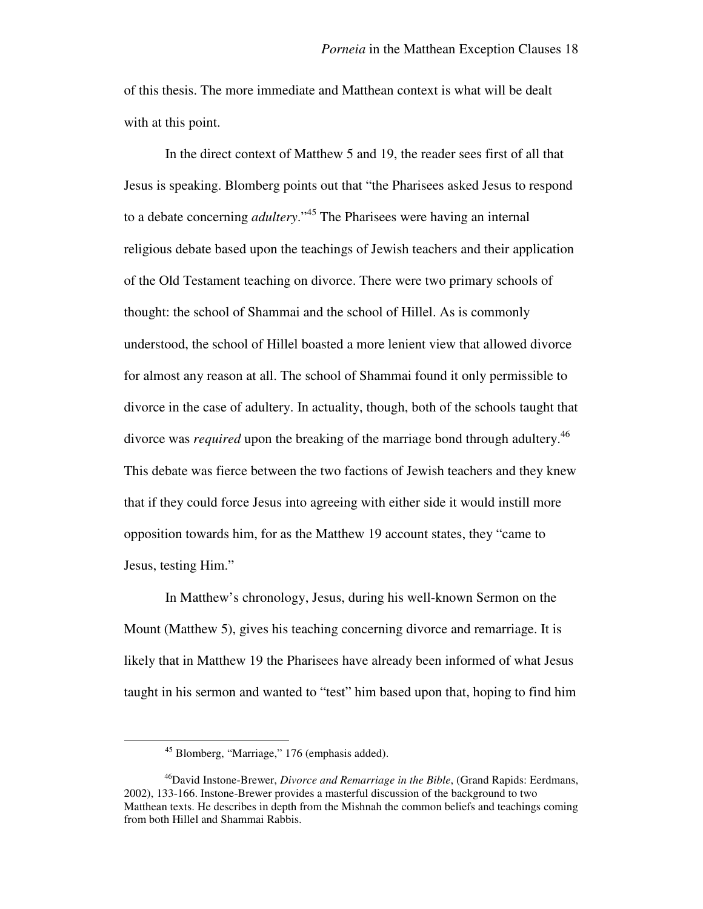of this thesis. The more immediate and Matthean context is what will be dealt with at this point.

In the direct context of Matthew 5 and 19, the reader sees first of all that Jesus is speaking. Blomberg points out that "the Pharisees asked Jesus to respond to a debate concerning *adultery*."<sup>45</sup> The Pharisees were having an internal religious debate based upon the teachings of Jewish teachers and their application of the Old Testament teaching on divorce. There were two primary schools of thought: the school of Shammai and the school of Hillel. As is commonly understood, the school of Hillel boasted a more lenient view that allowed divorce for almost any reason at all. The school of Shammai found it only permissible to divorce in the case of adultery. In actuality, though, both of the schools taught that divorce was *required* upon the breaking of the marriage bond through adultery.<sup>46</sup> This debate was fierce between the two factions of Jewish teachers and they knew that if they could force Jesus into agreeing with either side it would instill more opposition towards him, for as the Matthew 19 account states, they "came to Jesus, testing Him."

In Matthew's chronology, Jesus, during his well-known Sermon on the Mount (Matthew 5), gives his teaching concerning divorce and remarriage. It is likely that in Matthew 19 the Pharisees have already been informed of what Jesus taught in his sermon and wanted to "test" him based upon that, hoping to find him

<sup>45</sup> Blomberg, "Marriage," 176 (emphasis added).

<sup>46</sup>David Instone-Brewer, *Divorce and Remarriage in the Bible*, (Grand Rapids: Eerdmans, 2002), 133-166. Instone-Brewer provides a masterful discussion of the background to two Matthean texts. He describes in depth from the Mishnah the common beliefs and teachings coming from both Hillel and Shammai Rabbis.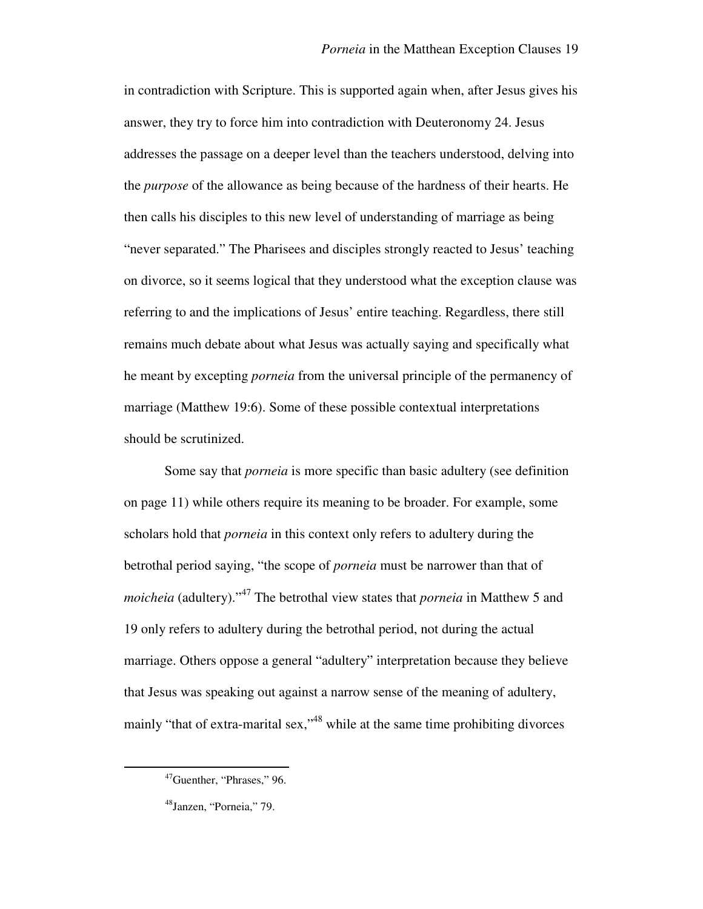in contradiction with Scripture. This is supported again when, after Jesus gives his answer, they try to force him into contradiction with Deuteronomy 24. Jesus addresses the passage on a deeper level than the teachers understood, delving into the *purpose* of the allowance as being because of the hardness of their hearts. He then calls his disciples to this new level of understanding of marriage as being "never separated." The Pharisees and disciples strongly reacted to Jesus' teaching on divorce, so it seems logical that they understood what the exception clause was referring to and the implications of Jesus' entire teaching. Regardless, there still remains much debate about what Jesus was actually saying and specifically what he meant by excepting *porneia* from the universal principle of the permanency of marriage (Matthew 19:6). Some of these possible contextual interpretations should be scrutinized.

 Some say that *porneia* is more specific than basic adultery (see definition on page 11) while others require its meaning to be broader. For example, some scholars hold that *porneia* in this context only refers to adultery during the betrothal period saying, "the scope of *porneia* must be narrower than that of *moicheia* (adultery)."<sup>47</sup> The betrothal view states that *porneia* in Matthew 5 and 19 only refers to adultery during the betrothal period, not during the actual marriage. Others oppose a general "adultery" interpretation because they believe that Jesus was speaking out against a narrow sense of the meaning of adultery, mainly "that of extra-marital sex,"<sup>48</sup> while at the same time prohibiting divorces

<sup>47</sup>Guenther, "Phrases," 96.

<sup>48</sup>Janzen, "Porneia," 79.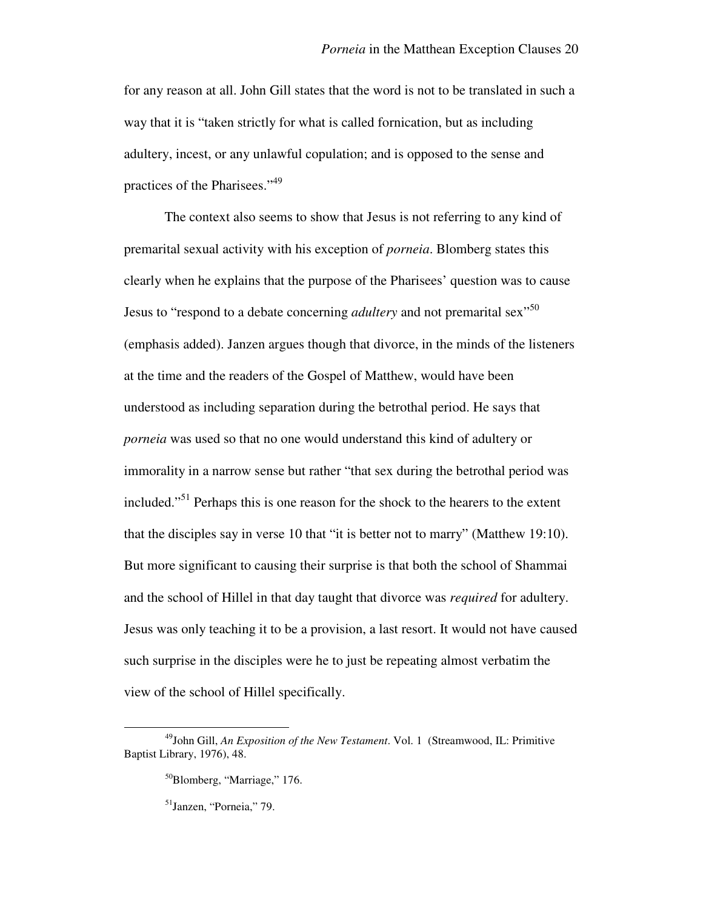for any reason at all. John Gill states that the word is not to be translated in such a way that it is "taken strictly for what is called fornication, but as including adultery, incest, or any unlawful copulation; and is opposed to the sense and practices of the Pharisees."<sup>49</sup>

 The context also seems to show that Jesus is not referring to any kind of premarital sexual activity with his exception of *porneia*. Blomberg states this clearly when he explains that the purpose of the Pharisees' question was to cause Jesus to "respond to a debate concerning *adultery* and not premarital sex"<sup>50</sup> (emphasis added). Janzen argues though that divorce, in the minds of the listeners at the time and the readers of the Gospel of Matthew, would have been understood as including separation during the betrothal period. He says that *porneia* was used so that no one would understand this kind of adultery or immorality in a narrow sense but rather "that sex during the betrothal period was included."<sup>51</sup> Perhaps this is one reason for the shock to the hearers to the extent that the disciples say in verse 10 that "it is better not to marry" (Matthew 19:10). But more significant to causing their surprise is that both the school of Shammai and the school of Hillel in that day taught that divorce was *required* for adultery. Jesus was only teaching it to be a provision, a last resort. It would not have caused such surprise in the disciples were he to just be repeating almost verbatim the view of the school of Hillel specifically.

<sup>49</sup>John Gill, *An Exposition of the New Testament*. Vol. 1 (Streamwood, IL: Primitive Baptist Library, 1976), 48.

<sup>50</sup>Blomberg, "Marriage," 176.

<sup>51</sup>Janzen, "Porneia," 79.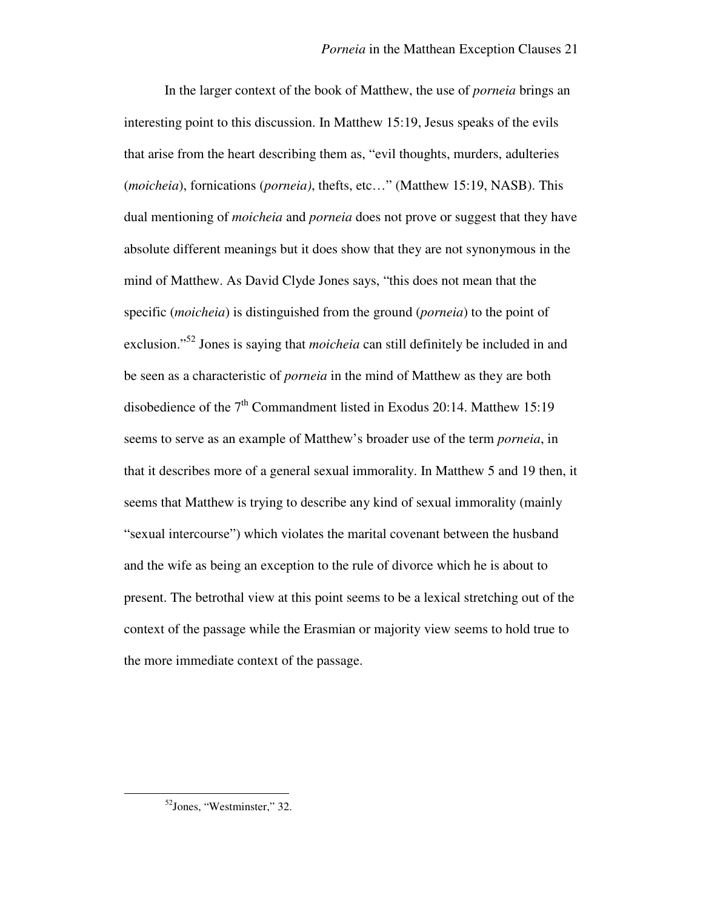In the larger context of the book of Matthew, the use of *porneia* brings an interesting point to this discussion. In Matthew 15:19, Jesus speaks of the evils that arise from the heart describing them as, "evil thoughts, murders, adulteries (*moicheia*), fornications (*porneia)*, thefts, etc…" (Matthew 15:19, NASB). This dual mentioning of *moicheia* and *porneia* does not prove or suggest that they have absolute different meanings but it does show that they are not synonymous in the mind of Matthew. As David Clyde Jones says, "this does not mean that the specific (*moicheia*) is distinguished from the ground (*porneia*) to the point of exclusion."<sup>52</sup> Jones is saying that *moicheia* can still definitely be included in and be seen as a characteristic of *porneia* in the mind of Matthew as they are both disobedience of the 7<sup>th</sup> Commandment listed in Exodus 20:14. Matthew 15:19 seems to serve as an example of Matthew's broader use of the term *porneia*, in that it describes more of a general sexual immorality. In Matthew 5 and 19 then, it seems that Matthew is trying to describe any kind of sexual immorality (mainly "sexual intercourse") which violates the marital covenant between the husband and the wife as being an exception to the rule of divorce which he is about to present. The betrothal view at this point seems to be a lexical stretching out of the context of the passage while the Erasmian or majority view seems to hold true to the more immediate context of the passage.

<sup>52</sup>Jones, "Westminster," 32.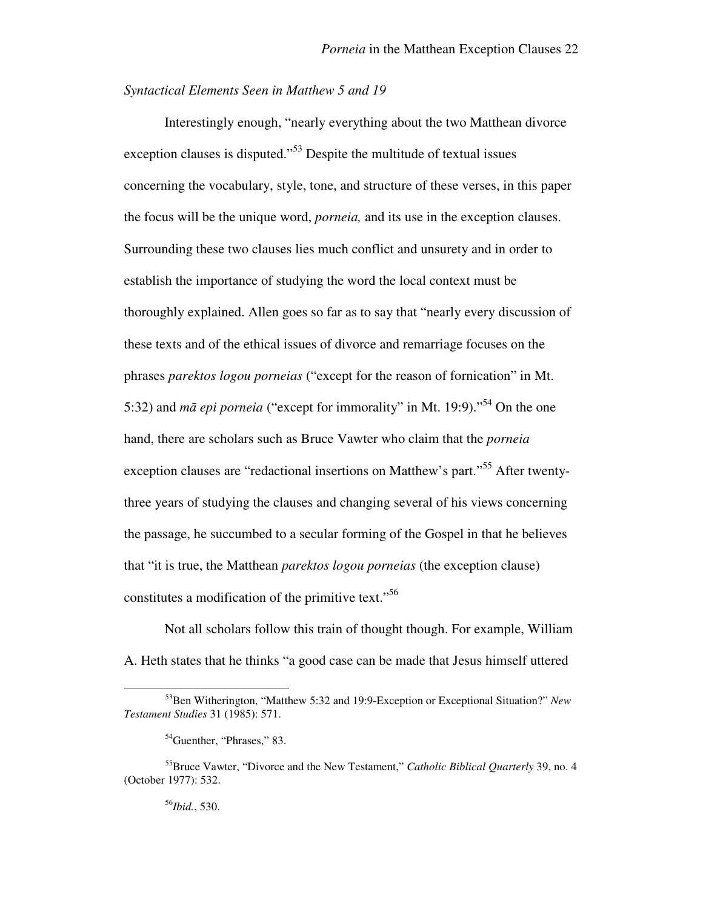### *Syntactical Elements Seen in Matthew 5 and 19*

Interestingly enough, "nearly everything about the two Matthean divorce exception clauses is disputed."<sup>53</sup> Despite the multitude of textual issues concerning the vocabulary, style, tone, and structure of these verses, in this paper the focus will be the unique word, *porneia,* and its use in the exception clauses. Surrounding these two clauses lies much conflict and unsurety and in order to establish the importance of studying the word the local context must be thoroughly explained. Allen goes so far as to say that "nearly every discussion of these texts and of the ethical issues of divorce and remarriage focuses on the phrases *parektos logou porneias* ("except for the reason of fornication" in Mt. 5:32) and *m*ā *epi porneia* ("except for immorality" in Mt. 19:9)."<sup>54</sup> On the one hand, there are scholars such as Bruce Vawter who claim that the *porneia* exception clauses are "redactional insertions on Matthew's part."<sup>55</sup> After twentythree years of studying the clauses and changing several of his views concerning the passage, he succumbed to a secular forming of the Gospel in that he believes that "it is true, the Matthean *parektos logou porneias* (the exception clause) constitutes a modification of the primitive text."<sup>56</sup>

Not all scholars follow this train of thought though. For example, William A. Heth states that he thinks "a good case can be made that Jesus himself uttered

<sup>56</sup>*Ibid.*, 530.

<sup>53</sup>Ben Witherington, "Matthew 5:32 and 19:9-Exception or Exceptional Situation?" *New Testament Studies* 31 (1985): 571.

<sup>&</sup>lt;sup>54</sup>Guenther, "Phrases," 83.

<sup>55</sup>Bruce Vawter, "Divorce and the New Testament," *Catholic Biblical Quarterly* 39, no. 4 (October 1977): 532.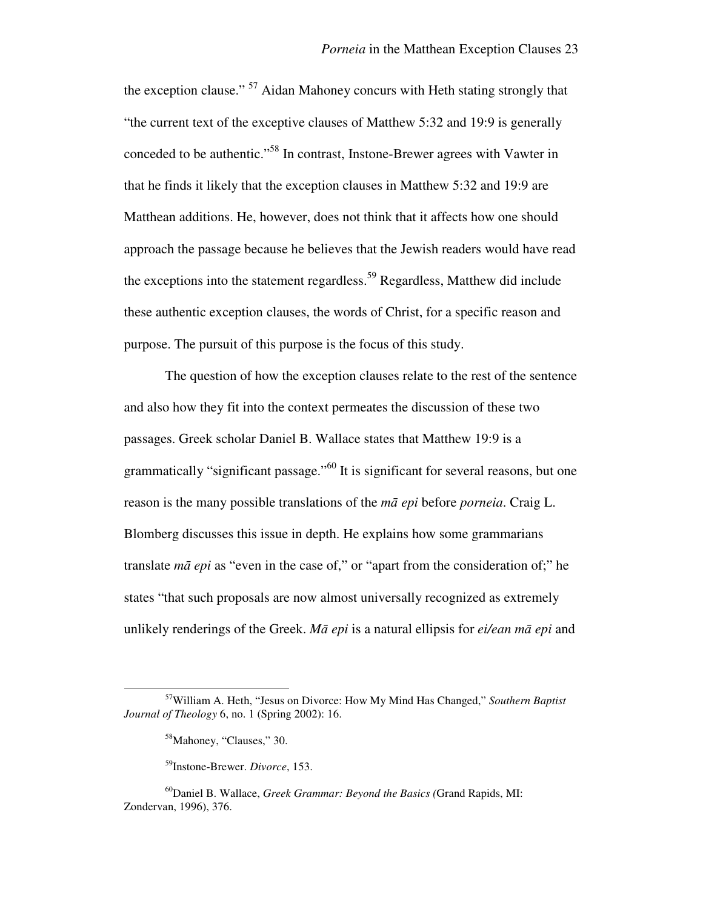the exception clause."<sup>57</sup> Aidan Mahoney concurs with Heth stating strongly that "the current text of the exceptive clauses of Matthew 5:32 and 19:9 is generally conceded to be authentic."<sup>58</sup> In contrast, Instone-Brewer agrees with Vawter in that he finds it likely that the exception clauses in Matthew 5:32 and 19:9 are Matthean additions. He, however, does not think that it affects how one should approach the passage because he believes that the Jewish readers would have read the exceptions into the statement regardless.<sup>59</sup> Regardless, Matthew did include these authentic exception clauses, the words of Christ, for a specific reason and purpose. The pursuit of this purpose is the focus of this study.

The question of how the exception clauses relate to the rest of the sentence and also how they fit into the context permeates the discussion of these two passages. Greek scholar Daniel B. Wallace states that Matthew 19:9 is a grammatically "significant passage."<sup>60</sup> It is significant for several reasons, but one reason is the many possible translations of the *m*ā *epi* before *porneia*. Craig L. Blomberg discusses this issue in depth. He explains how some grammarians translate *m*ā *epi* as "even in the case of," or "apart from the consideration of;" he states "that such proposals are now almost universally recognized as extremely unlikely renderings of the Greek. *M*ā *epi* is a natural ellipsis for *ei/ean m*ā *epi* and

<sup>57</sup>William A. Heth, "Jesus on Divorce: How My Mind Has Changed," *Southern Baptist Journal of Theology* 6, no. 1 (Spring 2002): 16.

<sup>58</sup>Mahoney, "Clauses," 30.

<sup>59</sup>Instone-Brewer. *Divorce*, 153.

<sup>60</sup>Daniel B. Wallace, *Greek Grammar: Beyond the Basics (*Grand Rapids, MI: Zondervan, 1996), 376.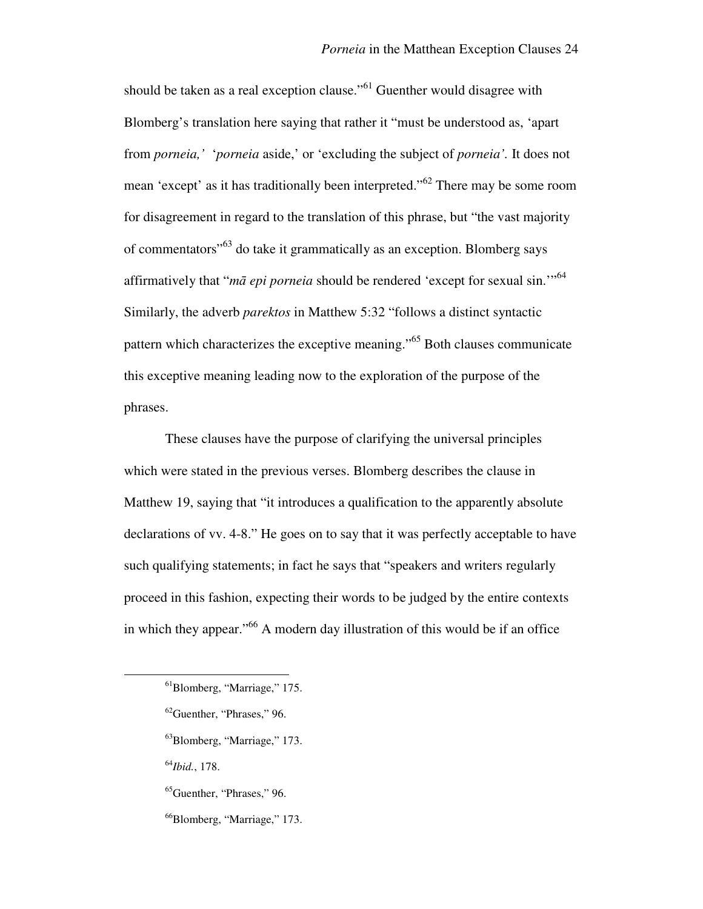should be taken as a real exception clause."<sup>61</sup> Guenther would disagree with Blomberg's translation here saying that rather it "must be understood as, 'apart from *porneia,'* '*porneia* aside,' or 'excluding the subject of *porneia'.* It does not mean 'except' as it has traditionally been interpreted."<sup>62</sup> There may be some room for disagreement in regard to the translation of this phrase, but "the vast majority of commentators"<sup>63</sup> do take it grammatically as an exception. Blomberg says affirmatively that "*m*ā *epi porneia* should be rendered 'except for sexual sin.'"<sup>64</sup> Similarly, the adverb *parektos* in Matthew 5:32 "follows a distinct syntactic pattern which characterizes the exceptive meaning."<sup>65</sup> Both clauses communicate this exceptive meaning leading now to the exploration of the purpose of the phrases.

These clauses have the purpose of clarifying the universal principles which were stated in the previous verses. Blomberg describes the clause in Matthew 19, saying that "it introduces a qualification to the apparently absolute declarations of vv. 4-8." He goes on to say that it was perfectly acceptable to have such qualifying statements; in fact he says that "speakers and writers regularly proceed in this fashion, expecting their words to be judged by the entire contexts in which they appear."<sup>66</sup> A modern day illustration of this would be if an office

<sup>64</sup>*Ibid.*, 178.

 $\overline{a}$ 

<sup>65</sup>Guenther, "Phrases," 96.

<sup>66</sup>Blomberg, "Marriage," 173.

<sup>61</sup>Blomberg, "Marriage," 175.

<sup>62</sup>Guenther, "Phrases," 96.

<sup>63</sup>Blomberg, "Marriage," 173.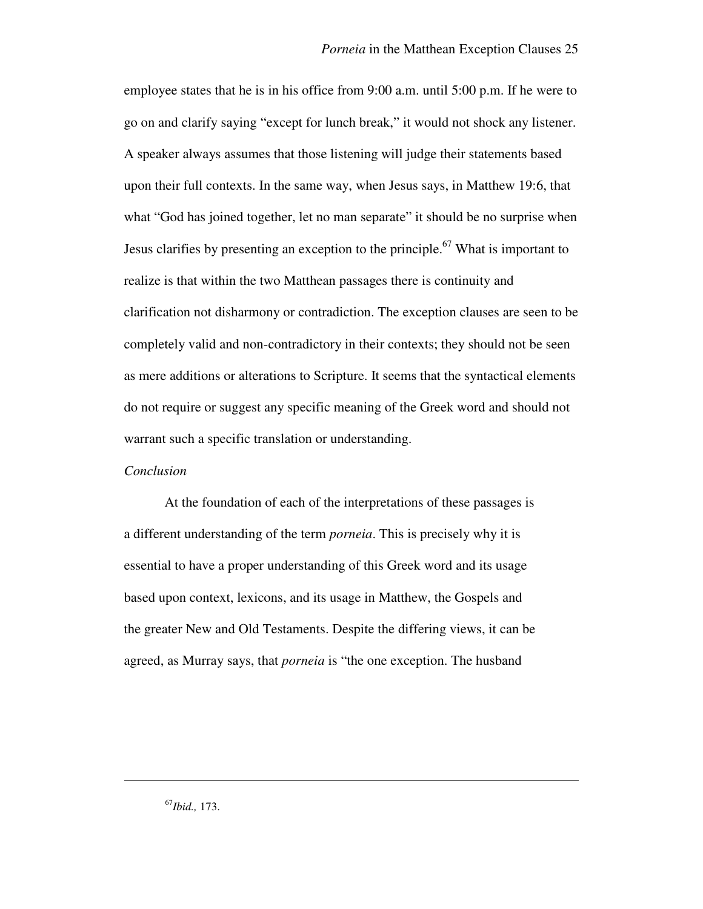employee states that he is in his office from 9:00 a.m. until 5:00 p.m. If he were to go on and clarify saying "except for lunch break," it would not shock any listener. A speaker always assumes that those listening will judge their statements based upon their full contexts. In the same way, when Jesus says, in Matthew 19:6, that what "God has joined together, let no man separate" it should be no surprise when Jesus clarifies by presenting an exception to the principle.<sup>67</sup> What is important to realize is that within the two Matthean passages there is continuity and clarification not disharmony or contradiction. The exception clauses are seen to be completely valid and non-contradictory in their contexts; they should not be seen as mere additions or alterations to Scripture. It seems that the syntactical elements do not require or suggest any specific meaning of the Greek word and should not warrant such a specific translation or understanding.

## *Conclusion*

At the foundation of each of the interpretations of these passages is a different understanding of the term *porneia*. This is precisely why it is essential to have a proper understanding of this Greek word and its usage based upon context, lexicons, and its usage in Matthew, the Gospels and the greater New and Old Testaments. Despite the differing views, it can be agreed, as Murray says, that *porneia* is "the one exception. The husband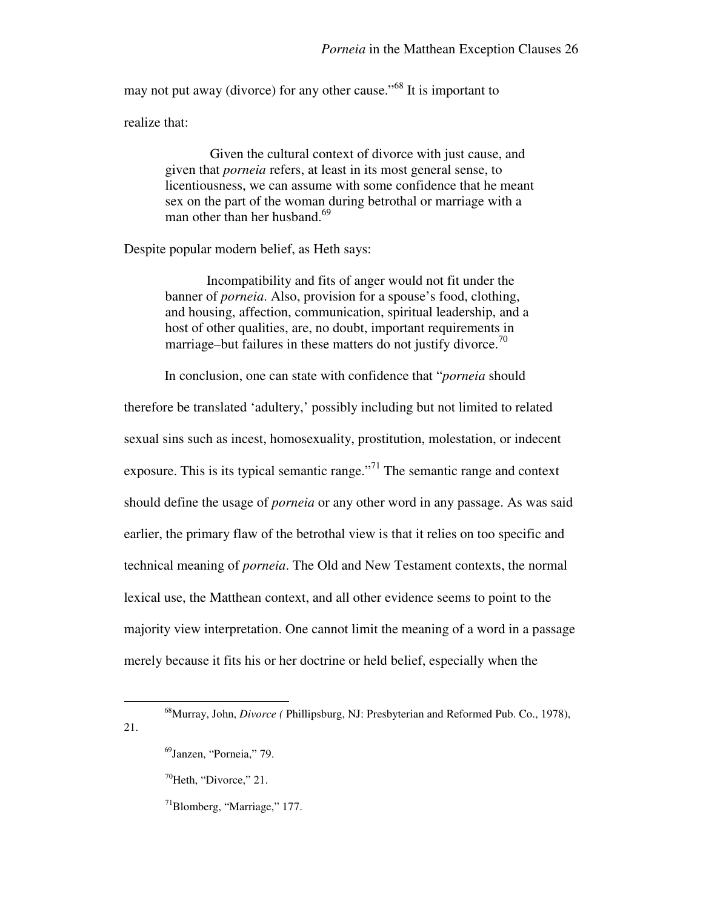may not put away (divorce) for any other cause."<sup>68</sup> It is important to

realize that:

 Given the cultural context of divorce with just cause, and given that *porneia* refers, at least in its most general sense, to licentiousness, we can assume with some confidence that he meant sex on the part of the woman during betrothal or marriage with a man other than her husband.<sup>69</sup>

Despite popular modern belief, as Heth says:

Incompatibility and fits of anger would not fit under the banner of *porneia*. Also, provision for a spouse's food, clothing, and housing, affection, communication, spiritual leadership, and a host of other qualities, are, no doubt, important requirements in marriage–but failures in these matters do not justify divorce.<sup>70</sup>

In conclusion, one can state with confidence that "*porneia* should

therefore be translated 'adultery,' possibly including but not limited to related sexual sins such as incest, homosexuality, prostitution, molestation, or indecent exposure. This is its typical semantic range. $171$  The semantic range and context should define the usage of *porneia* or any other word in any passage. As was said earlier, the primary flaw of the betrothal view is that it relies on too specific and technical meaning of *porneia*. The Old and New Testament contexts, the normal lexical use, the Matthean context, and all other evidence seems to point to the majority view interpretation. One cannot limit the meaning of a word in a passage merely because it fits his or her doctrine or held belief, especially when the

 $\overline{a}$ 

21.

 $71$ Blomberg, "Marriage," 177.

<sup>68</sup>Murray, John, *Divorce (* Phillipsburg, NJ: Presbyterian and Reformed Pub. Co., 1978),

<sup>69</sup>Janzen, "Porneia," 79.

 $70$ Heth, "Divorce," 21.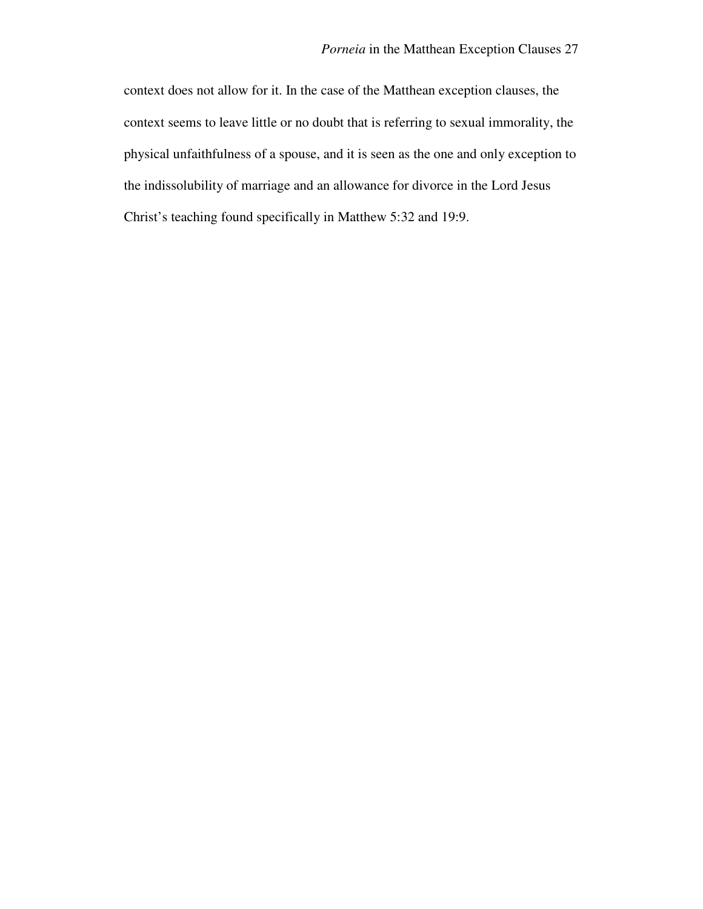context does not allow for it. In the case of the Matthean exception clauses, the context seems to leave little or no doubt that is referring to sexual immorality, the physical unfaithfulness of a spouse, and it is seen as the one and only exception to the indissolubility of marriage and an allowance for divorce in the Lord Jesus Christ's teaching found specifically in Matthew 5:32 and 19:9.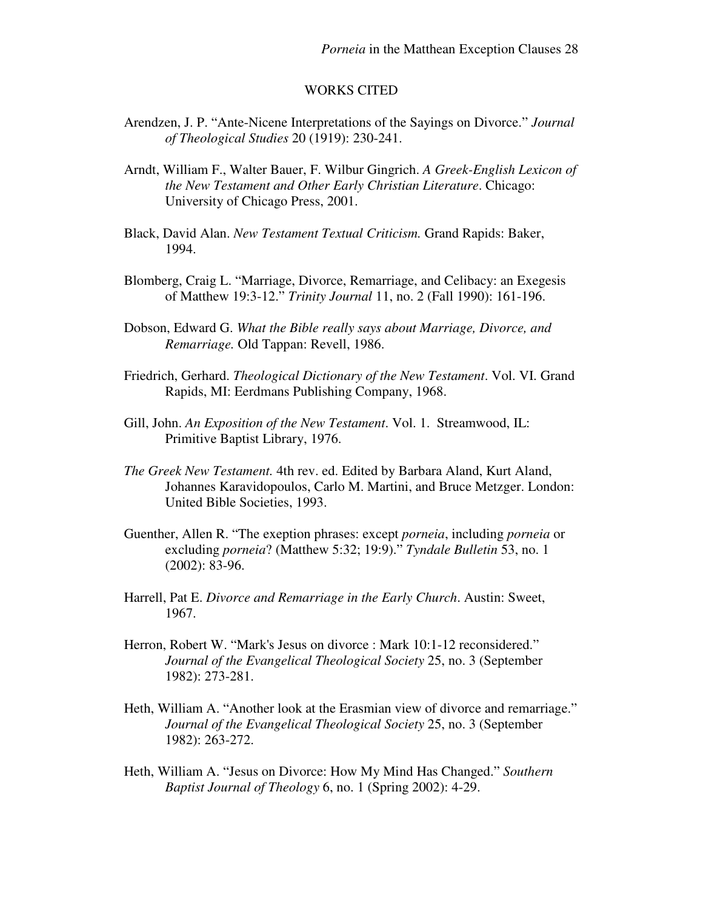### WORKS CITED

- Arendzen, J. P. "Ante-Nicene Interpretations of the Sayings on Divorce." *Journal of Theological Studies* 20 (1919): 230-241.
- Arndt, William F., Walter Bauer, F. Wilbur Gingrich. *A Greek-English Lexicon of the New Testament and Other Early Christian Literature*. Chicago: University of Chicago Press, 2001.
- Black, David Alan. *New Testament Textual Criticism.* Grand Rapids: Baker, 1994.
- Blomberg, Craig L. "Marriage, Divorce, Remarriage, and Celibacy: an Exegesis of Matthew 19:3-12." *Trinity Journal* 11, no. 2 (Fall 1990): 161-196.
- Dobson, Edward G. *What the Bible really says about Marriage, Divorce, and Remarriage.* Old Tappan: Revell, 1986.
- Friedrich, Gerhard. *Theological Dictionary of the New Testament*. Vol. VI. Grand Rapids, MI: Eerdmans Publishing Company, 1968.
- Gill, John. *An Exposition of the New Testament*. Vol. 1. Streamwood, IL: Primitive Baptist Library, 1976.
- *The Greek New Testament.* 4th rev. ed. Edited by Barbara Aland, Kurt Aland, Johannes Karavidopoulos, Carlo M. Martini, and Bruce Metzger. London: United Bible Societies, 1993.
- Guenther, Allen R. "The exeption phrases: except *porneia*, including *porneia* or excluding *porneia*? (Matthew 5:32; 19:9)." *Tyndale Bulletin* 53, no. 1 (2002): 83-96.
- Harrell, Pat E. *Divorce and Remarriage in the Early Church*. Austin: Sweet, 1967.
- Herron, Robert W. "Mark's Jesus on divorce : Mark 10:1-12 reconsidered." *Journal of the Evangelical Theological Society* 25, no. 3 (September 1982): 273-281.
- Heth, William A. "Another look at the Erasmian view of divorce and remarriage." *Journal of the Evangelical Theological Society* 25, no. 3 (September 1982): 263-272.
- Heth, William A. "Jesus on Divorce: How My Mind Has Changed." *Southern Baptist Journal of Theology* 6, no. 1 (Spring 2002): 4-29.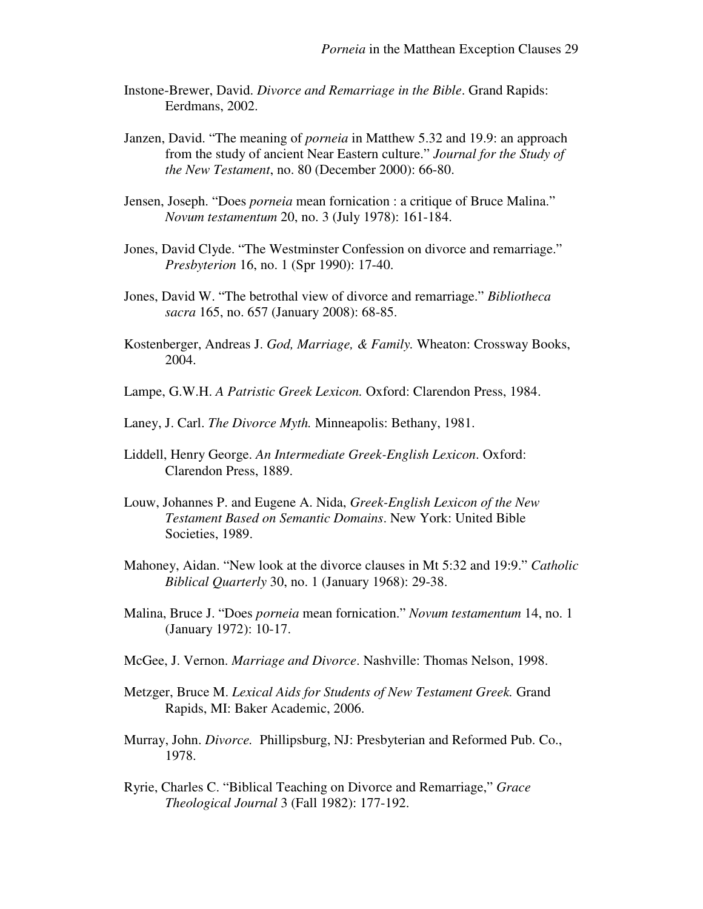- Instone-Brewer, David. *Divorce and Remarriage in the Bible*. Grand Rapids: Eerdmans, 2002.
- Janzen, David. "The meaning of *porneia* in Matthew 5.32 and 19.9: an approach from the study of ancient Near Eastern culture." *Journal for the Study of the New Testament*, no. 80 (December 2000): 66-80.
- Jensen, Joseph. "Does *porneia* mean fornication : a critique of Bruce Malina." *Novum testamentum* 20, no. 3 (July 1978): 161-184.
- Jones, David Clyde. "The Westminster Confession on divorce and remarriage." *Presbyterion* 16, no. 1 (Spr 1990): 17-40.
- Jones, David W. "The betrothal view of divorce and remarriage." *Bibliotheca sacra* 165, no. 657 (January 2008): 68-85.
- Kostenberger, Andreas J. *God, Marriage, & Family.* Wheaton: Crossway Books, 2004.
- Lampe, G.W.H. *A Patristic Greek Lexicon.* Oxford: Clarendon Press, 1984.
- Laney, J. Carl. *The Divorce Myth.* Minneapolis: Bethany, 1981.
- Liddell, Henry George. *An Intermediate Greek-English Lexicon*. Oxford: Clarendon Press, 1889.
- Louw, Johannes P. and Eugene A. Nida, *Greek-English Lexicon of the New Testament Based on Semantic Domains*. New York: United Bible Societies, 1989.
- Mahoney, Aidan. "New look at the divorce clauses in Mt 5:32 and 19:9." *Catholic Biblical Quarterly* 30, no. 1 (January 1968): 29-38.
- Malina, Bruce J. "Does *porneia* mean fornication." *Novum testamentum* 14, no. 1 (January 1972): 10-17.
- McGee, J. Vernon. *Marriage and Divorce*. Nashville: Thomas Nelson, 1998.
- Metzger, Bruce M. *Lexical Aids for Students of New Testament Greek.* Grand Rapids, MI: Baker Academic, 2006.
- Murray, John. *Divorce.* Phillipsburg, NJ: Presbyterian and Reformed Pub. Co., 1978.
- Ryrie, Charles C. "Biblical Teaching on Divorce and Remarriage," *Grace Theological Journal* 3 (Fall 1982): 177-192.